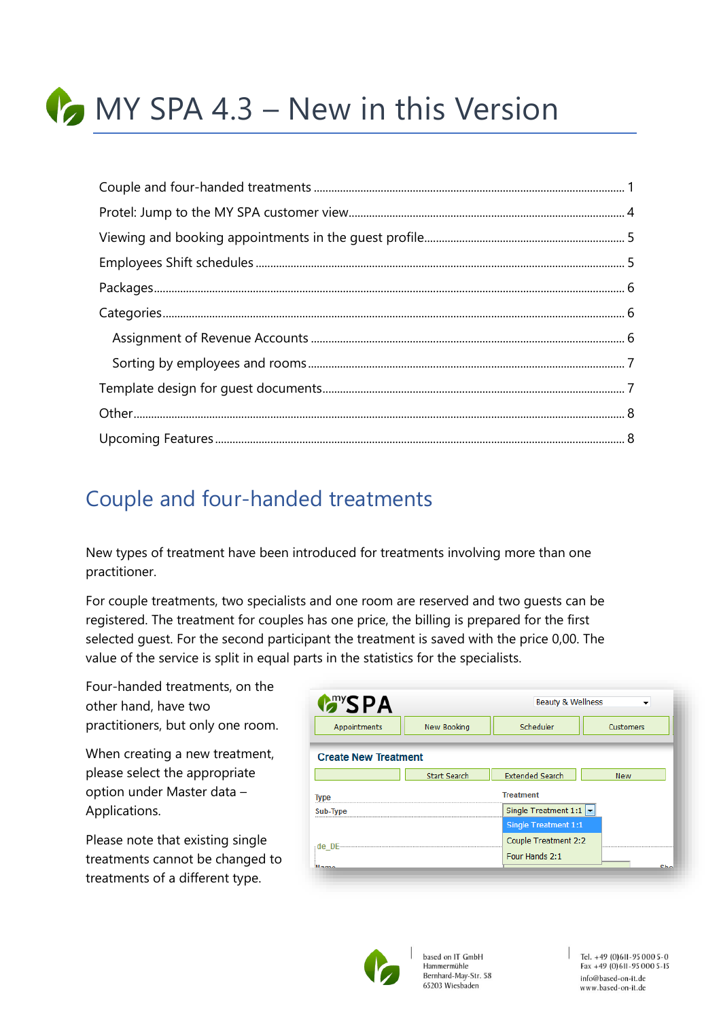

## <span id="page-0-0"></span>Couple and four-handed treatments

New types of treatment have been introduced for treatments involving more than one practitioner.

For couple treatments, two specialists and one room are reserved and two guests can be registered. The treatment for couples has one price, the billing is prepared for the first selected guest. For the second participant the treatment is saved with the price 0,00. The value of the service is split in equal parts in the statistics for the specialists.

Four-handed treatments, on the other hand, have two practitioners, but only one room.

When creating a new treatment, please select the appropriate option under Master data – Applications.

Please note that existing single treatments cannot be changed to treatments of a different type.

|                             | <b>Beauty &amp; Wellness</b><br>▼         |                 |  |  |
|-----------------------------|-------------------------------------------|-----------------|--|--|
| New Booking                 | Scheduler                                 | Customers       |  |  |
| <b>Create New Treatment</b> |                                           |                 |  |  |
| <b>Start Search</b>         | <b>Extended Search</b>                    | <b>New</b>      |  |  |
|                             | <b>Treatment</b>                          |                 |  |  |
|                             | Single Treatment 1:1 $\blacktriangledown$ |                 |  |  |
|                             | <b>Single Treatment 1:1</b>               |                 |  |  |
|                             | Couple Treatment 2:2                      |                 |  |  |
|                             | Four Hands 2:1                            | c <sub>ho</sub> |  |  |
|                             |                                           |                 |  |  |



based on IT GmbH Hammermühle Bernhard-May-Str. 58 65203 Wiesbaden

 $|$  Tel. +49 (0) 611 - 95 000 5 - 0 Fax +49 (0) 611-95 000 5-15 info@based-on-it.de www.based-on-it.de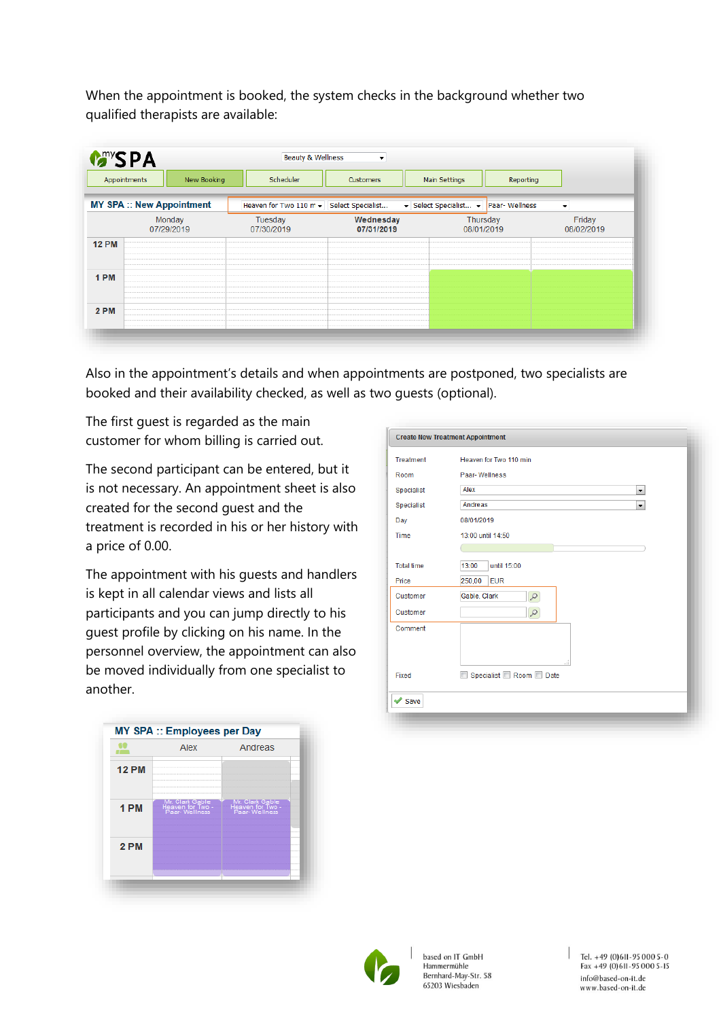When the appointment is booked, the system checks in the background whether two qualified therapists are available:

|              | New Booking<br>Appointments      | Scheduler                                | Customers               | Main Settings                     | Reporting |                          |
|--------------|----------------------------------|------------------------------------------|-------------------------|-----------------------------------|-----------|--------------------------|
|              | <b>MY SPA :: New Appointment</b> | Heaven for Two 110 m v Select Specialist |                         | Select Specialist v Paar-Wellness |           | $\overline{\phantom{a}}$ |
|              | Monday<br>07/29/2019             | Tuesday<br>07/30/2019                    | Wednesday<br>07/31/2019 | Thursday<br>08/01/2019            |           | Friday<br>08/02/2019     |
| <b>12 PM</b> |                                  |                                          |                         |                                   |           |                          |
| 1 PM         |                                  |                                          |                         |                                   |           |                          |
| 2 PM         |                                  |                                          |                         |                                   |           |                          |

Also in the appointment's details and when appointments are postponed, two specialists are booked and their availability checked, as well as two guests (optional).

The first guest is regarded as the main customer for whom billing is carried out.

The second participant can be entered, but it is not necessary. An appointment sheet is also created for the second guest and the treatment is recorded in his or her history with a price of 0.00.

The appointment with his guests and handlers is kept in all calendar views and lists all participants and you can jump directly to his guest profile by clicking on his name. In the personnel overview, the appointment can also be moved individually from one specialist to another.



| Treatment         | Heaven for Two 110 min              |
|-------------------|-------------------------------------|
| Room              | Paar-Wellness                       |
| Specialist        | Alex<br>$\blacktriangledown$        |
| Specialist        | Andreas<br>$\overline{\phantom{a}}$ |
| Day               | 08/01/2019                          |
| Time              | 13:00 until 14:50                   |
|                   |                                     |
| <b>Total time</b> | 13:00<br>until 15:00                |
| Price             | 250,00<br><b>EUR</b>                |
| Customer          | Gable, Clark<br>$\mathcal{L}$       |
| Customer          | ρ                                   |
| Comment           |                                     |
|                   |                                     |
|                   | лź                                  |
| Fixed             | Specialist Room Date                |



based on IT GmbH Hammermühle Bernhard-May-Str. 58 65203 Wiesbaden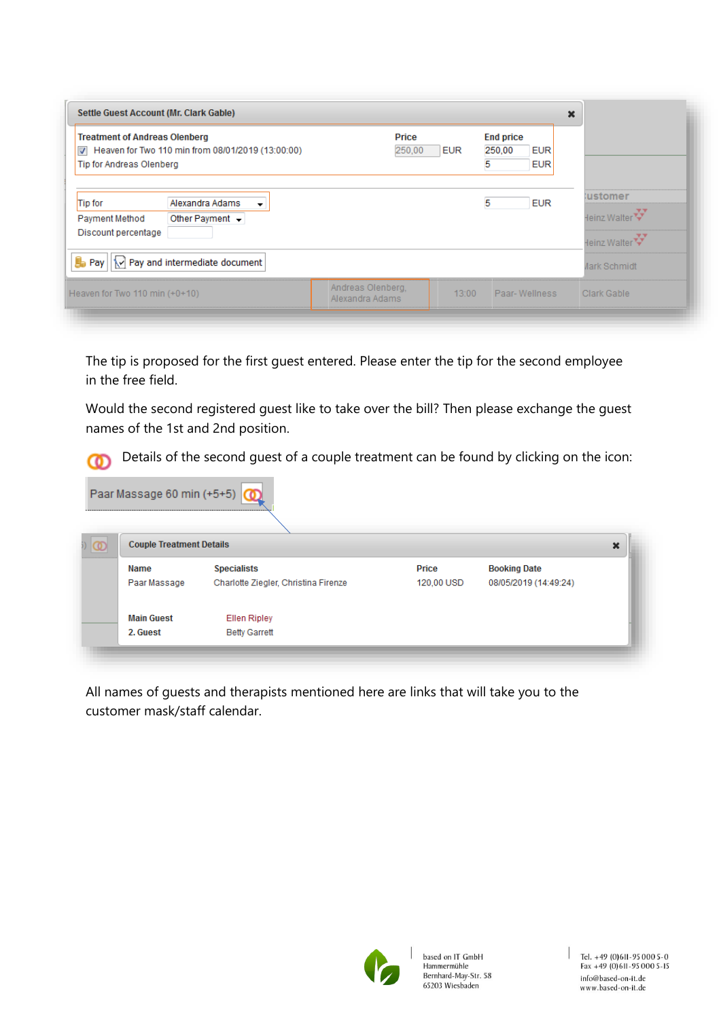| <b>Treatment of Andreas Olenberg</b><br>Heaven for Two 110 min from 08/01/2019 (13:00:00)<br>$\overline{v}$<br>Tip for Andreas Olenberg | Price<br>250,00                      | <b>EUR</b> | <b>End price</b><br>250,00<br><b>EUR</b><br><b>EUR</b> |                                |
|-----------------------------------------------------------------------------------------------------------------------------------------|--------------------------------------|------------|--------------------------------------------------------|--------------------------------|
| <b>Tip for</b><br>Alexandra Adams<br>▼<br>Other Payment $\sim$<br>Payment Method                                                        |                                      |            | <b>EUR</b><br>5                                        | <b>ustomer</b><br>Heinz Walter |
| Discount percentage                                                                                                                     |                                      |            |                                                        | Heinz Walter                   |
| <b>晶 Pay</b><br>\v] Pay and intermediate document                                                                                       |                                      |            |                                                        | <b>Jark Schmidt</b>            |
| Heaven for Two 110 min $(+0+10)$                                                                                                        | Andreas Olenberg,<br>Alexandra Adams | 13:00      | Paar-Wellness                                          | Clark Gable                    |

The tip is proposed for the first guest entered. Please enter the tip for the second employee in the free field.

Would the second registered guest like to take over the bill? Then please exchange the guest names of the 1st and 2nd position.

Details of the second guest of a couple treatment can be found by clicking on the icon: ത

| Paar Massage 60 min (+5+5)           |                                      |            |                       |  |  |  |
|--------------------------------------|--------------------------------------|------------|-----------------------|--|--|--|
| <b>Couple Treatment Details</b><br>× |                                      |            |                       |  |  |  |
| Name                                 | <b>Specialists</b>                   | Price      | <b>Booking Date</b>   |  |  |  |
| Paar Massage                         | Charlotte Ziegler, Christina Firenze | 120,00 USD | 08/05/2019 (14:49:24) |  |  |  |
| <b>Main Guest</b>                    | <b>Ellen Ripley</b>                  |            |                       |  |  |  |
| 2. Guest                             | <b>Betty Garrett</b>                 |            |                       |  |  |  |

All names of guests and therapists mentioned here are links that will take you to the customer mask/staff calendar.

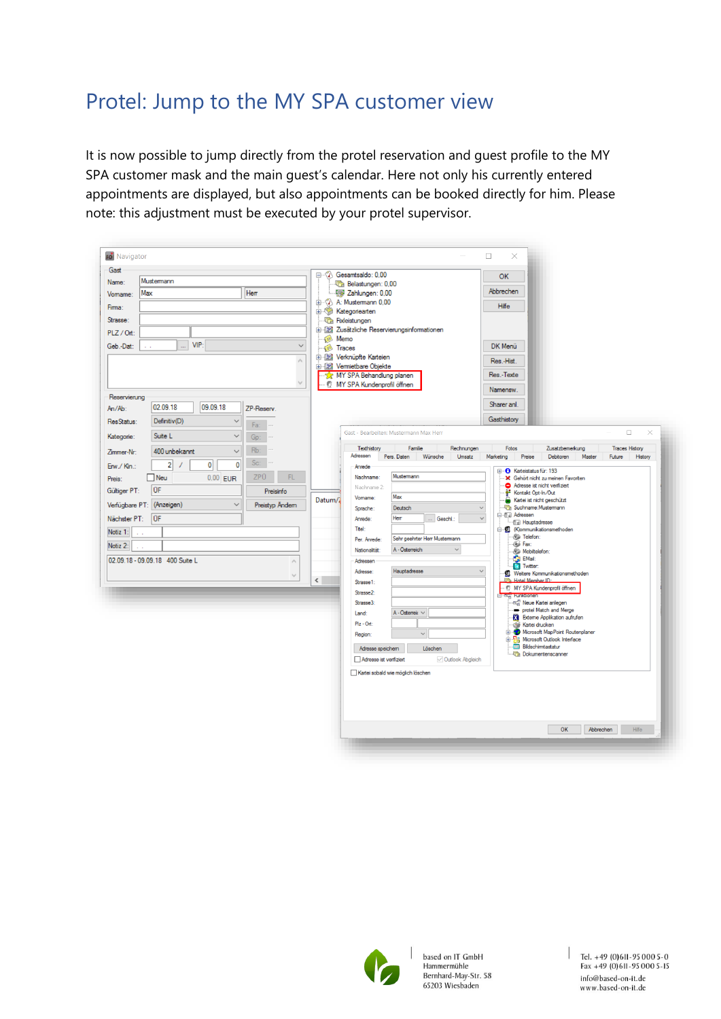### <span id="page-3-0"></span>Protel: Jump to the MY SPA customer view

It is now possible to jump directly from the protel reservation and guest profile to the MY SPA customer mask and the main guest's calendar. Here not only his currently entered appointments are displayed, but also appointments can be booked directly for him. Please note: this adjustment must be executed by your protel supervisor.

| <b>Fo</b> Navigator                                                                                                                                                                                                                                                                                                                                                                                                                                     | $\Box$<br>X                                                                                                                                                                                                                                                                                                                                                                                                                                                                                                                                                                                                                                                                                                                                                                                                                                                                                                                                                                                                                                                                                                                                                                                                                                                                                                                                                                                                                                                                                                                                                                                                  |
|---------------------------------------------------------------------------------------------------------------------------------------------------------------------------------------------------------------------------------------------------------------------------------------------------------------------------------------------------------------------------------------------------------------------------------------------------------|--------------------------------------------------------------------------------------------------------------------------------------------------------------------------------------------------------------------------------------------------------------------------------------------------------------------------------------------------------------------------------------------------------------------------------------------------------------------------------------------------------------------------------------------------------------------------------------------------------------------------------------------------------------------------------------------------------------------------------------------------------------------------------------------------------------------------------------------------------------------------------------------------------------------------------------------------------------------------------------------------------------------------------------------------------------------------------------------------------------------------------------------------------------------------------------------------------------------------------------------------------------------------------------------------------------------------------------------------------------------------------------------------------------------------------------------------------------------------------------------------------------------------------------------------------------------------------------------------------------|
| Gast<br>Mustermann<br>Name:<br>Max<br>Herr<br>Vomame:<br>Firma:<br>Strasse:<br>PLZ / Ort:<br>VIP<br>Geb.-Dat:<br><br>$\checkmark$                                                                                                                                                                                                                                                                                                                       | ⊟ <sup></sup> ♡ Gesamtsaldo: 0.00<br>OK<br><b>The Belastungen: 0,00</b><br>Abbrechen<br>Zahlungen: 0,00<br>由 << A: Mustemann 0,00<br>Hilfe<br>E Kategoriearten<br><b>The Fixleistungen</b><br>in 8 Zusätzliche Reservierungsinformationen<br>Memo<br><b>O</b><br>DK Menü<br>Traces                                                                                                                                                                                                                                                                                                                                                                                                                                                                                                                                                                                                                                                                                                                                                                                                                                                                                                                                                                                                                                                                                                                                                                                                                                                                                                                           |
| $\hat{\rho}_{\rm N}$<br>$\sim$<br>Reservierung<br>02.09.18<br>09.09.18<br>$An/Ab$ :<br>ZP-Reserv.<br>ResStatus:<br>Definitiv(D)<br>$\ddot{}$<br>Fa:                                                                                                                                                                                                                                                                                                     | in 189 Verknüpfte Karteien<br>Res.-Hist.<br>由 图 Vermietbare Objekte<br>Res.-Texte<br>MY SPA Behandlung planen<br>MY SPA Kundenprofil öffnen<br>e<br>Namensw.<br>Sharer anl.<br>Gasthistory                                                                                                                                                                                                                                                                                                                                                                                                                                                                                                                                                                                                                                                                                                                                                                                                                                                                                                                                                                                                                                                                                                                                                                                                                                                                                                                                                                                                                   |
| Suite L<br>Kategorie:<br>$\checkmark$<br>Gp:<br>Rb:<br>400 unbekannt<br>Zimmer-Nr:<br>$\checkmark$<br>Sc:<br>$\overline{2}$<br>$\overline{0}$<br>$\mathbf 0$<br>Erw./ Kin.:<br><b>ZPU</b><br>FL.<br>$\Box$ Neu<br>$0.00$ EUR<br>Preis:<br>ÜF<br>Gültiger PT:<br>Preisinfo<br>Verfügbare PT: (Anzeigen)<br>Preistyp Ändem<br><b>OF</b><br>Nächster PT:<br>Notiz <sub>1:</sub><br>Notiz 2:<br>02.09.18 - 09.09.18 400 Suite L<br>$\rho_{\rm b}$<br>$\cup$ | Gast - Bearbeiten: Mustermann Max Herr<br>$\Box$<br>$\times$<br>Familie<br>Rechnungen<br>Texthistory<br>Fotos<br>Zusatzbemerkung<br><b>Traces History</b><br>Adressen<br>Pers. Daten<br>Debitoren<br>Wünsche<br>Umsatz<br>Marketing<br>Preise<br>Master<br>Future<br>History<br>Anrede<br>E-C Karteistatus für: 193<br>Mustermann<br>Nachname:<br>X Gehört nicht zu meinen Favoriten<br>Adresse ist nicht verifiziert<br>Nachname 2:<br>Kontakt Opt-In/Out<br>Max<br>Vomame:<br>Datum/<br>Kartei ist nicht geschützt<br>Suchname: Mustermann<br>Deutsch<br>$\checkmark$<br>Sprache:<br><b>E</b> 1 Adressen<br>Herr<br>$\checkmark$<br>Geschl.:<br>Anrede:<br><b>TE</b> Hauptadresse<br>Titel:<br>St. (K)ommunikationsmethoden<br><b>Sol</b> Telefon:<br>Sehr geehrter Herr Mustermann<br>Per. Anrede:<br><b>Co</b> Fax:<br>A - Österreich<br>Nationalität:<br>$\checkmark$<br>Mobiltelefon:<br>EMail:<br>C Twitter:<br>Adressen<br>Hauptadresse<br>$\checkmark$<br>Adresse:<br>Weitere Kommunikationsmethoden<br>$\left\langle \right\rangle$<br><b>The Hotel Member ID:</b><br>Strasse1:<br>MY SPA Kundenprofil öffnen<br>Strasse2:<br><b>The Funktionen</b><br>ar Neue Kartei anlegen<br>Strasse3:<br>protel Match and Merge<br>A - Österreic $\vee$<br>Land:<br>Externe Applikation aufrufen<br>$Plz - Ort$ :<br>Kartei drucken<br>Microsoft MapPoint Routenplaner<br>$\checkmark$<br>Region:<br><b>B</b> Microsoft Outlook Interface<br><b>Bildschimtastatur</b><br>Adresse speichem<br>Löschen<br>Dokumentenscanner<br>Adresse ist verifiziert<br>Outlook Abgleich<br>Kartei sobald wie möglich löschen |
|                                                                                                                                                                                                                                                                                                                                                                                                                                                         | OK<br>Abbrechen<br>Hilfe                                                                                                                                                                                                                                                                                                                                                                                                                                                                                                                                                                                                                                                                                                                                                                                                                                                                                                                                                                                                                                                                                                                                                                                                                                                                                                                                                                                                                                                                                                                                                                                     |



based on IT GmbH Hammermühle Bernhard-May-Str. 58 65203 Wiesbaden

 $\begin{array}{|l|}\n\hline\n\end{array} \text{Tel. +49 (0) 611-95 000 5-0\n\begin{array}{l} \n\text{Fa}x + 49 (0) 611-95 000 5-15\n\end{array}$ info@based-on-it.de www.based-on-it.de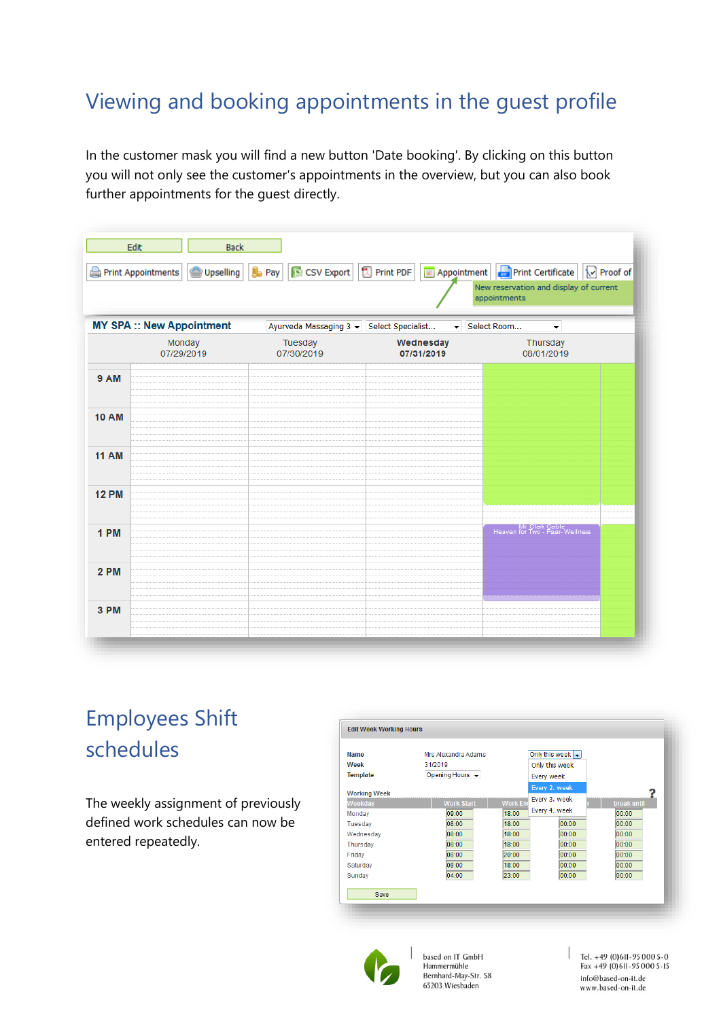## <span id="page-4-0"></span>Viewing and booking appointments in the guest profile

In the customer mask you will find a new button 'Date booking'. By clicking on this button you will not only see the customer's appointments in the overview, but you can also book further appointments for the guest directly.

| Print PDF   I Appointment   Print Certificate<br>$\mathbb{B}$ Pay<br>S CSV Export<br>Proof of<br>Print Appointments<br>Upselling<br>New reservation and display of current<br>appointments |                                  |                                          |                         |                                                   |  |  |
|--------------------------------------------------------------------------------------------------------------------------------------------------------------------------------------------|----------------------------------|------------------------------------------|-------------------------|---------------------------------------------------|--|--|
|                                                                                                                                                                                            | <b>MY SPA :: New Appointment</b> | Ayurveda Massaging 3 v Select Specialist | $\left  \cdot \right $  | Select Room<br>$\blacktriangledown$               |  |  |
|                                                                                                                                                                                            | Monday<br>07/29/2019             | Tuesday<br>07/30/2019                    | Wednesday<br>07/31/2019 | Thursday<br>08/01/2019                            |  |  |
| <b>9 AM</b>                                                                                                                                                                                |                                  |                                          |                         |                                                   |  |  |
| <b>10 AM</b>                                                                                                                                                                               |                                  |                                          |                         |                                                   |  |  |
| <b>11 AM</b>                                                                                                                                                                               |                                  |                                          |                         |                                                   |  |  |
| <b>12 PM</b>                                                                                                                                                                               |                                  |                                          |                         |                                                   |  |  |
| 1 PM                                                                                                                                                                                       |                                  |                                          |                         | Mr. Clark Gable<br>Heaven for Two - Paar-Wellness |  |  |
| 2 PM                                                                                                                                                                                       |                                  |                                          |                         |                                                   |  |  |
| 3 PM                                                                                                                                                                                       |                                  |                                          |                         |                                                   |  |  |

# <span id="page-4-1"></span>Employees Shift schedules

The weekly assignment of previously defined work schedules can now be entered repeatedly.





based on IT GmbH Hammermühle Bernhard-May-Str. 58 65203 Wiesbaden

Tel. +49 (0)611-95 000 5-0<br>Fax +49 (0)611-95 000 5-15 info@based-on-it.de www.based-on-it.de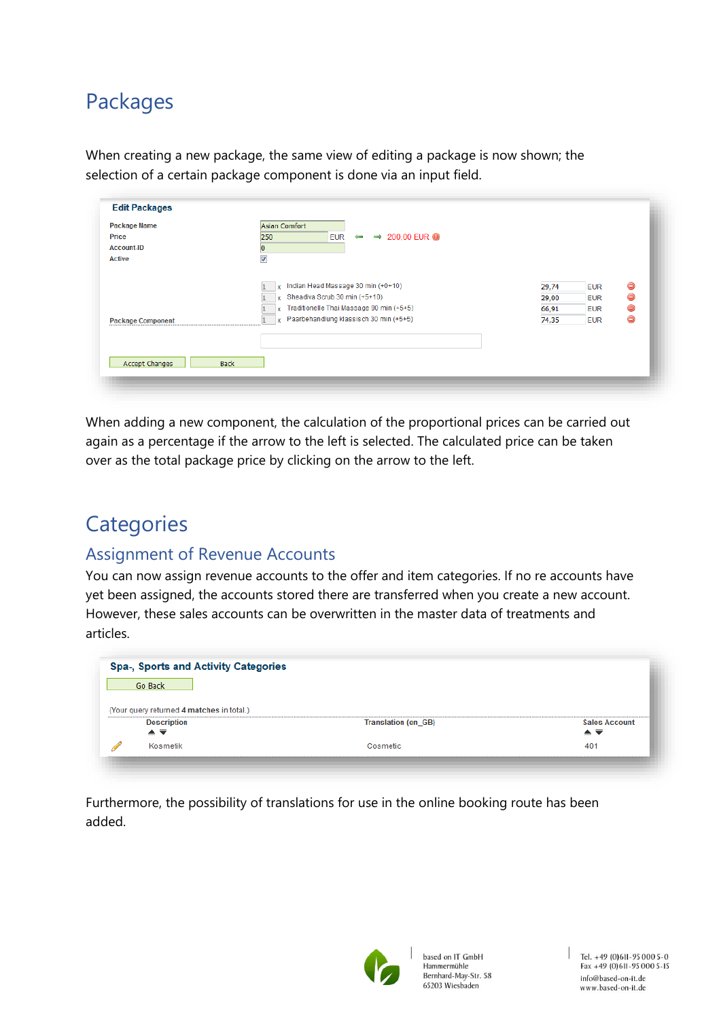### <span id="page-5-0"></span>Packages

When creating a new package, the same view of editing a package is now shown; the selection of a certain package component is done via an input field.

| <b>Package Name</b>      | Asian Comfort                                          |       |            |   |
|--------------------------|--------------------------------------------------------|-------|------------|---|
| Price                    | EUR $\leftrightarrow$ 200,00 EUR $\bullet$<br>250      |       |            |   |
| <b>Account-ID</b>        | 0                                                      |       |            |   |
| <b>Active</b>            | $\overline{\mathcal{A}}$                               |       |            |   |
|                          |                                                        |       |            |   |
|                          | Indian Head Massage 30 min (+0+10)                     | 29,74 | <b>EUR</b> | ⊜ |
|                          | Sheadiva Scrub 30 min (+5+10)<br>x                     | 29,00 | <b>EUR</b> | ⊝ |
|                          | Traditionelle Thai Massage 90 min (+5+5)<br>lx.        | 66,91 | <b>EUR</b> | ⊝ |
| <b>Package Component</b> | Paarbehandlung klassisch 30 min (+5+5)<br>$\mathbf{x}$ | 74,35 | <b>EUR</b> | ⊜ |
|                          |                                                        |       |            |   |
|                          |                                                        |       |            |   |
| Accept Changes           | <b>Back</b>                                            |       |            |   |

When adding a new component, the calculation of the proportional prices can be carried out again as a percentage if the arrow to the left is selected. The calculated price can be taken over as the total package price by clicking on the arrow to the left.

# <span id="page-5-1"></span>**Categories**

#### <span id="page-5-2"></span>Assignment of Revenue Accounts

You can now assign revenue accounts to the offer and item categories. If no re accounts have yet been assigned, the accounts stored there are transferred when you create a new account. However, these sales accounts can be overwritten in the master data of treatments and articles.

| Go Back                                   |                            |                      |
|-------------------------------------------|----------------------------|----------------------|
|                                           |                            |                      |
|                                           |                            |                      |
| (Your query returned 4 matches in total.) |                            |                      |
| <b>Description</b><br>▴▬                  | <b>Translation (en_GB)</b> | <b>Sales Account</b> |

Furthermore, the possibility of translations for use in the online booking route has been added.

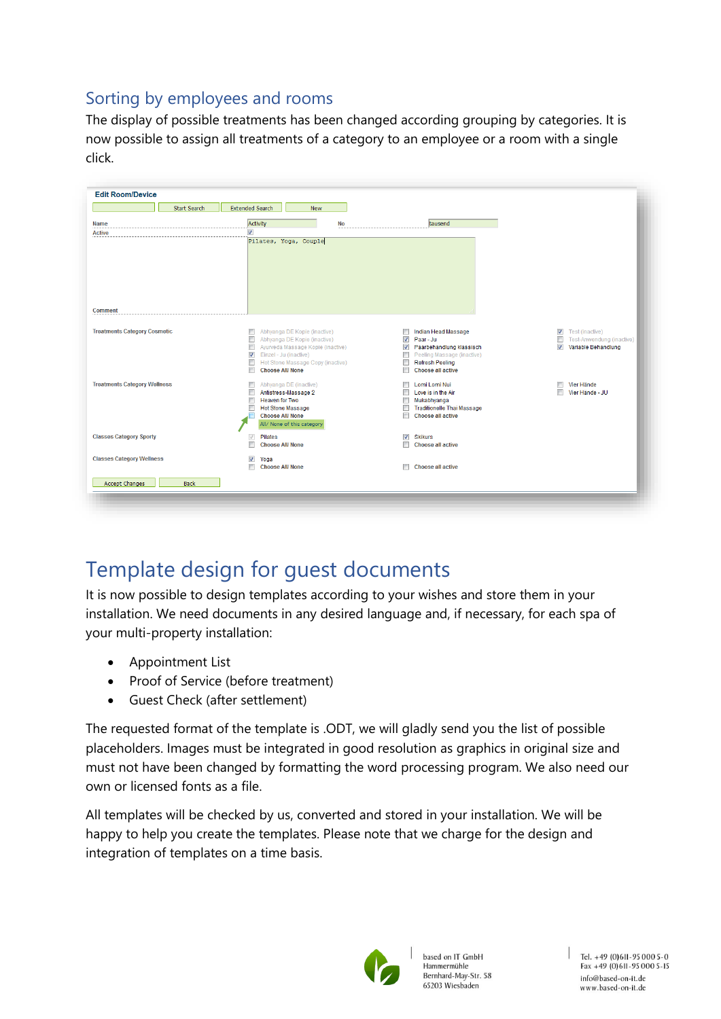#### <span id="page-6-0"></span>Sorting by employees and rooms

The display of possible treatments has been changed according grouping by categories. It is now possible to assign all treatments of a category to an employee or a room with a single click.

| <b>Start Search</b>                 | <b>Extended Search</b><br><b>New</b>                                             |                                                    |                                                                                        |
|-------------------------------------|----------------------------------------------------------------------------------|----------------------------------------------------|----------------------------------------------------------------------------------------|
| <b>Name</b>                         | Activity<br>No                                                                   | tausend                                            |                                                                                        |
| <b>Active</b>                       | $\overline{\mathsf{v}}$                                                          |                                                    |                                                                                        |
| <b>Comment</b>                      | Pilates, Yoga, Couple                                                            |                                                    |                                                                                        |
|                                     |                                                                                  |                                                    |                                                                                        |
| <b>Treatments Category Cosmetic</b> | $\Box$<br>Abhyanga DE Kopie (inactive)                                           | $\Box$<br>Indian Head Massage                      | $\sqrt{v}$ Test (inactive)                                                             |
|                                     | O<br>Abhyanga DE Kopie (inactive)<br>$\Box$<br>Ayurveda Massage Kopie (inactive) | V Paar - Ju<br>Paarbehandlung klassisch            | $\Box$<br>Test-Anwendung (inactive)<br>$\overline{\mathcal{A}}$<br>Variable Behandlung |
|                                     | $\overline{v}$<br>Einzel - Ju (inactive)                                         | Peeling Massage (inactive)                         |                                                                                        |
|                                     | $\Box$<br>Hot Stone Massage Copy (inactive)                                      | Refresh Peeling                                    |                                                                                        |
|                                     | F<br><b>Choose All/None</b>                                                      | $\blacksquare$<br>Choose all active                |                                                                                        |
| <b>Treatments Category Wellness</b> | Abhyanga DE (inactive)<br>n                                                      | <b>Lomi</b> Lomi Nui                               | Vier Hände<br>m                                                                        |
|                                     | n<br>Antistress-Massage 2<br>Heaven for Two<br>n                                 | $\Box$ Love is in the Air<br>$\Box$<br>Mukabhyanga | $\blacksquare$<br>Vier Hände - JU                                                      |
|                                     | $\Box$<br><b>Hot Stone Massage</b>                                               | Traditionelle Thai Massage                         |                                                                                        |
|                                     | <b>Choose All/None</b>                                                           | $\overline{\phantom{a}}$<br>Choose all active      |                                                                                        |
|                                     | All/ None of this category                                                       |                                                    |                                                                                        |
| <b>Classes Category Sporty</b>      | $\sqrt{}$<br><b>Pilates</b>                                                      | $\overline{\mathbf{v}}$<br><b>Skikurs</b>          |                                                                                        |
|                                     | П<br><b>Choose All/None</b>                                                      | Choose all active<br>П                             |                                                                                        |
| <b>Classes Category Wellness</b>    | $\overline{\mathcal{J}}$<br>Yoga                                                 |                                                    |                                                                                        |
|                                     | П<br><b>Choose All/None</b>                                                      | Choose all active                                  |                                                                                        |
| Accept Changes<br><b>Back</b>       |                                                                                  |                                                    |                                                                                        |
|                                     |                                                                                  |                                                    |                                                                                        |

## <span id="page-6-1"></span>Template design for guest documents

It is now possible to design templates according to your wishes and store them in your installation. We need documents in any desired language and, if necessary, for each spa of your multi-property installation:

- Appointment List
- Proof of Service (before treatment)
- Guest Check (after settlement)

The requested format of the template is .ODT, we will gladly send you the list of possible placeholders. Images must be integrated in good resolution as graphics in original size and must not have been changed by formatting the word processing program. We also need our own or licensed fonts as a file.

All templates will be checked by us, converted and stored in your installation. We will be happy to help you create the templates. Please note that we charge for the design and integration of templates on a time basis.



based on IT GmbH Hammermühle Bernhard-May-Str. 58 65203 Wiesbaden